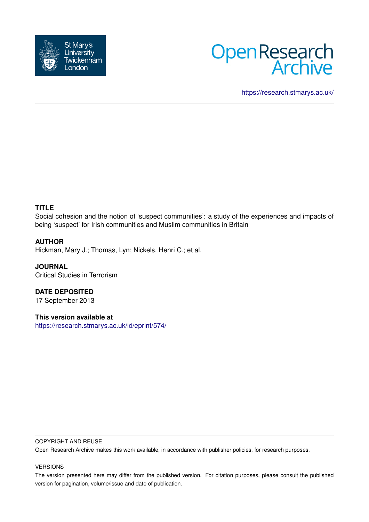



<https://research.stmarys.ac.uk/>

# **TITLE**

Social cohesion and the notion of 'suspect communities': a study of the experiences and impacts of being 'suspect' for Irish communities and Muslim communities in Britain

## **AUTHOR**

Hickman, Mary J.; Thomas, Lyn; Nickels, Henri C.; et al.

**JOURNAL** Critical Studies in Terrorism

**DATE DEPOSITED** 17 September 2013

**This version available at** <https://research.stmarys.ac.uk/id/eprint/574/>

#### COPYRIGHT AND REUSE

Open Research Archive makes this work available, in accordance with publisher policies, for research purposes.

#### VERSIONS

The version presented here may differ from the published version. For citation purposes, please consult the published version for pagination, volume/issue and date of publication.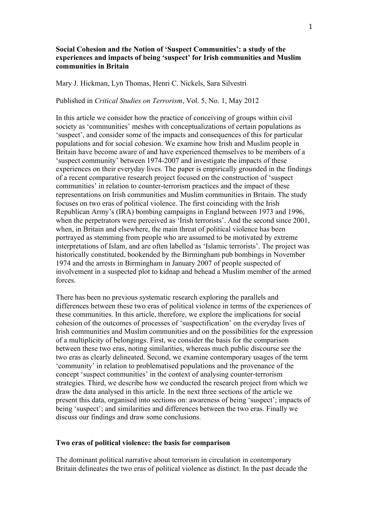## **Social Cohesion and the Notion of 'Suspect Communities': a study of the experiences and impacts of being 'suspect' for Irish communities and Muslim communities in Britain**

#### Mary J. Hickman, Lyn Thomas, Henri C. Nickels, Sara Silvestri

#### Published in *Critical Studies on Terrorism*, Vol. 5, No. 1, May 2012

In this article we consider how the practice of conceiving of groups within civil society as 'communities' meshes with conceptualizations of certain populations as 'suspect', and consider some of the impacts and consequences of this for particular populations and for social cohesion. We examine how Irish and Muslim people in Britain have become aware of and have experienced themselves to be members of a 'suspect community' between 1974-2007 and investigate the impacts of these experiences on their everyday lives. The paper is empirically grounded in the findings of a recent comparative research project focused on the construction of 'suspect communities' in relation to counter-terrorism practices and the impact of these representations on Irish communities and Muslim communities in Britain. The study focuses on two eras of political violence. The first coinciding with the Irish Republican Army's (IRA) bombing campaigns in England between 1973 and 1996, when the perpetrators were perceived as 'Irish terrorists'. And the second since 2001, when, in Britain and elsewhere, the main threat of political violence has been portrayed as stemming from people who are assumed to be motivated by extreme interpretations of Islam, and are often labelled as 'Islamic terrorists'. The project was historically constituted, bookended by the Birmingham pub bombings in November 1974 and the arrests in Birmingham in January 2007 of people suspected of involvement in a suspected plot to kidnap and behead a Muslim member of the armed forces.

There has been no previous systematic research exploring the parallels and differences between these two eras of political violence in terms of the experiences of these communities. In this article, therefore, we explore the implications for social cohesion of the outcomes of processes of 'suspectification' on the everyday lives of Irish communities and Muslim communities and on the possibilities for the expression of a multiplicity of belongings. First, we consider the basis for the comparison between these two eras, noting similarities, whereas much public discourse see the two eras as clearly delineated. Second, we examine contemporary usages of the term 'community' in relation to problematised populations and the provenance of the concept 'suspect communities' in the context of analysing counter-terrorism strategies. Third, we describe how we conducted the research project from which we draw the data analysed in this article. In the next three sections of the article we present this data, organised into sections on: awareness of being 'suspect'; impacts of being 'suspect'; and similarities and differences between the two eras. Finally we discuss our findings and draw some conclusions.

#### **Two eras of political violence: the basis for comparison**

The dominant political narrative about terrorism in circulation in contemporary Britain delineates the two eras of political violence as distinct. In the past decade the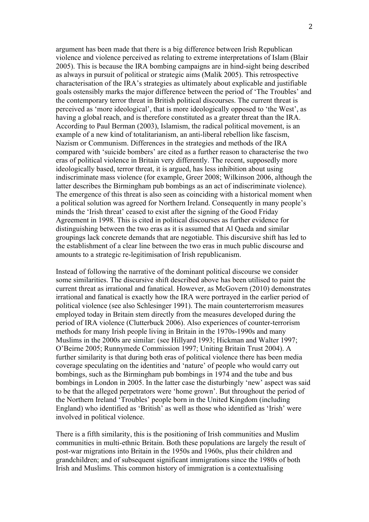argument has been made that there is a big difference between Irish Republican violence and violence perceived as relating to extreme interpretations of Islam (Blair 2005). This is because the IRA bombing campaigns are in hind-sight being described as always in pursuit of political or strategic aims (Malik 2005). This retrospective characterisation of the IRA's strategies as ultimately about explicable and justifiable goals ostensibly marks the major difference between the period of 'The Troubles' and the contemporary terror threat in British political discourses. The current threat is perceived as 'more ideological', that is more ideologically opposed to 'the West', as having a global reach, and is therefore constituted as a greater threat than the IRA. According to Paul Berman (2003), Islamism, the radical political movement, is an example of a new kind of totalitarianism, an anti-liberal rebellion like fascism, Nazism or Communism. Differences in the strategies and methods of the IRA compared with 'suicide bombers' are cited as a further reason to characterise the two eras of political violence in Britain very differently. The recent, supposedly more ideologically based, terror threat, it is argued, has less inhibition about using indiscriminate mass violence (for example, Greer 2008; Wilkinson 2006, although the latter describes the Birmingham pub bombings as an act of indiscriminate violence). The emergence of this threat is also seen as coinciding with a historical moment when a political solution was agreed for Northern Ireland. Consequently in many people's minds the 'Irish threat' ceased to exist after the signing of the Good Friday Agreement in 1998. This is cited in political discourses as further evidence for distinguishing between the two eras as it is assumed that Al Qaeda and similar groupings lack concrete demands that are negotiable. This discursive shift has led to the establishment of a clear line between the two eras in much public discourse and amounts to a strategic re-legitimisation of Irish republicanism.

Instead of following the narrative of the dominant political discourse we consider some similarities. The discursive shift described above has been utilised to paint the current threat as irrational and fanatical. However, as McGovern (2010) demonstrates irrational and fanatical is exactly how the IRA were portrayed in the earlier period of political violence (see also Schlesinger 1991). The main counterterrorism measures employed today in Britain stem directly from the measures developed during the period of IRA violence (Clutterbuck 2006). Also experiences of counter-terrorism methods for many Irish people living in Britain in the 1970s-1990s and many Muslims in the 2000s are similar: (see Hillyard 1993; Hickman and Walter 1997; O'Beirne 2005; Runnymede Commission 1997; Uniting Britain Trust 2004). A further similarity is that during both eras of political violence there has been media coverage speculating on the identities and 'nature' of people who would carry out bombings, such as the Birmingham pub bombings in 1974 and the tube and bus bombings in London in 2005. In the latter case the disturbingly 'new' aspect was said to be that the alleged perpetrators were 'home grown'. But throughout the period of the Northern Ireland 'Troubles' people born in the United Kingdom (including England) who identified as 'British' as well as those who identified as 'Irish' were involved in political violence.

There is a fifth similarity, this is the positioning of Irish communities and Muslim communities in multi-ethnic Britain. Both these populations are largely the result of post-war migrations into Britain in the 1950s and 1960s, plus their children and grandchildren; and of subsequent significant immigrations since the 1980s of both Irish and Muslims. This common history of immigration is a contextualising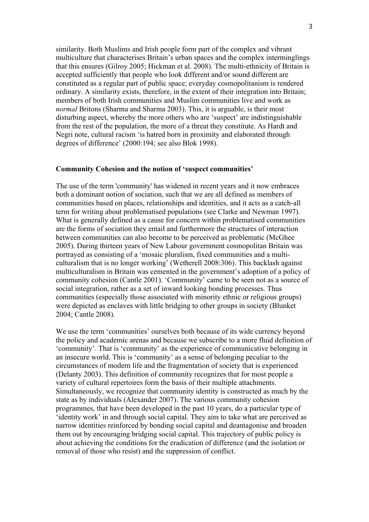similarity. Both Muslims and Irish people form part of the complex and vibrant multiculture that characterises Britain's urban spaces and the complex interminglings that this ensures (Gilroy 2005; Hickman et al. 2008). The multi-ethnicity of Britain is accepted sufficiently that people who look different and/or sound different are constituted as a regular part of public space; everyday cosmopolitanism is rendered ordinary. A similarity exists, therefore, in the extent of their integration into Britain; members of both Irish communities and Muslim communities live and work as *normal* Britons (Sharma and Sharma 2003). This, it is arguable, is their most disturbing aspect, whereby the more others who are 'suspect' are indistinguishable from the rest of the population, the more of a threat they constitute. As Hardt and Negri note, cultural racism 'is hatred born in proximity and elaborated through degrees of difference' (2000:194; see also Blok 1998).

#### **Community Cohesion and the notion of 'suspect communities'**

The use of the term 'community' has widened in recent years and it now embraces both a dominant notion of sociation, such that we are all defined as members of communities based on places, relationships and identities, and it acts as a catch-all term for writing about problematised populations (see Clarke and Newman 1997). What is generally defined as a cause for concern within problematised communities are the forms of sociation they entail and furthermore the structures of interaction between communities can also become to be perceived as problematic (McGhee 2005). During thirteen years of New Labour government cosmopolitan Britain was portrayed as consisting of a 'mosaic pluralism, fixed communities and a multiculturalism that is no longer working' (Wetherell 2008:306). This backlash against multiculturalism in Britain was cemented in the government's adoption of a policy of community cohesion (Cantle 2001). 'Community' came to be seen not as a source of social integration, rather as a set of inward looking bonding processes. Thus communities (especially those associated with minority ethnic or religious groups) were depicted as enclaves with little bridging to other groups in society (Blunket 2004; Cantle 2008).

We use the term 'communities' ourselves both because of its wide currency beyond the policy and academic arenas and because we subscribe to a more fluid definition of 'community'. That is 'community' as the experience of communicative belonging in an insecure world. This is 'community' as a sense of belonging peculiar to the circumstances of modern life and the fragmentation of society that is experienced (Delanty 2003). This definition of community recognizes that for most people a variety of cultural repertoires form the basis of their multiple attachments. Simultaneously, we recognize that community identity is constructed as much by the state as by individuals (Alexander 2007). The various community cohesion programmes, that have been developed in the past 10 years, do a particular type of 'identity work' in and through social capital. They aim to take what are perceived as narrow identities reinforced by bonding social capital and deantagonise and broaden them out by encouraging bridging social capital. This trajectory of public policy is about achieving the conditions for the eradication of difference (and the isolation or removal of those who resist) and the suppression of conflict.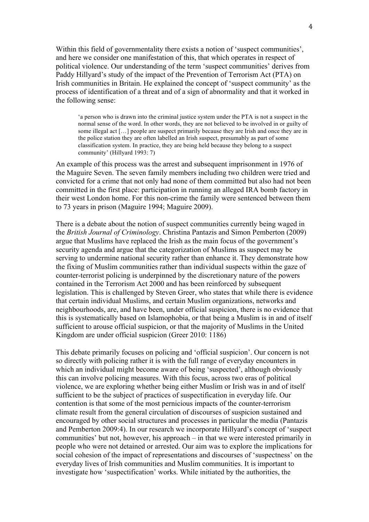Within this field of governmentality there exists a notion of 'suspect communities', and here we consider one manifestation of this, that which operates in respect of political violence. Our understanding of the term 'suspect communities' derives from Paddy Hillyard's study of the impact of the Prevention of Terrorism Act (PTA) on Irish communities in Britain. He explained the concept of 'suspect community' as the process of identification of a threat and of a sign of abnormality and that it worked in the following sense:

'a person who is drawn into the criminal justice system under the PTA is not a suspect in the normal sense of the word. In other words, they are not believed to be involved in or guilty of some illegal act […] people are suspect primarily because they are Irish and once they are in the police station they are often labelled an Irish suspect, presumably as part of some classification system. In practice, they are being held because they belong to a suspect community' (Hillyard 1993: 7)

An example of this process was the arrest and subsequent imprisonment in 1976 of the Maguire Seven. The seven family members including two children were tried and convicted for a crime that not only had none of them committed but also had not been committed in the first place: participation in running an alleged IRA bomb factory in their west London home. For this non-crime the family were sentenced between them to 73 years in prison (Maguire 1994; Maguire 2009).

There is a debate about the notion of suspect communities currently being waged in the *British Journal of Criminology*. Christina Pantazis and Simon Pemberton (2009) argue that Muslims have replaced the Irish as the main focus of the government's security agenda and argue that the categorization of Muslims as suspect may be serving to undermine national security rather than enhance it. They demonstrate how the fixing of Muslim communities rather than individual suspects within the gaze of counter-terrorist policing is underpinned by the discretionary nature of the powers contained in the Terrorism Act 2000 and has been reinforced by subsequent legislation. This is challenged by Steven Greer, who states that while there is evidence that certain individual Muslims, and certain Muslim organizations, networks and neighbourhoods, are, and have been, under official suspicion, there is no evidence that this is systematically based on Islamophobia, or that being a Muslim is in and of itself sufficient to arouse official suspicion, or that the majority of Muslims in the United Kingdom are under official suspicion (Greer 2010: 1186)

This debate primarily focuses on policing and 'official suspicion'. Our concern is not so directly with policing rather it is with the full range of everyday encounters in which an individual might become aware of being 'suspected', although obviously this can involve policing measures. With this focus, across two eras of political violence, we are exploring whether being either Muslim or Irish was in and of itself sufficient to be the subject of practices of suspectification in everyday life. Our contention is that some of the most pernicious impacts of the counter-terrorism climate result from the general circulation of discourses of suspicion sustained and encouraged by other social structures and processes in particular the media (Pantazis and Pemberton 2009:4). In our research we incorporate Hillyard's concept of 'suspect communities' but not, however, his approach – in that we were interested primarily in people who were not detained or arrested. Our aim was to explore the implications for social cohesion of the impact of representations and discourses of 'suspectness' on the everyday lives of Irish communities and Muslim communities. It is important to investigate how 'suspectification' works. While initiated by the authorities, the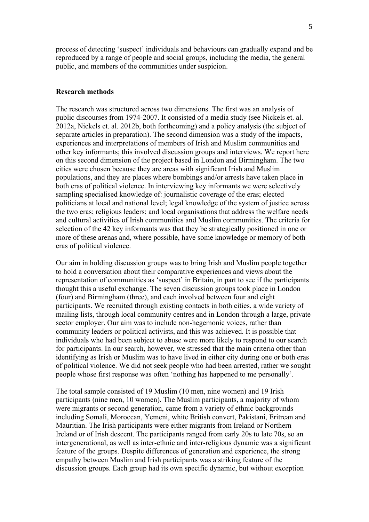process of detecting 'suspect' individuals and behaviours can gradually expand and be reproduced by a range of people and social groups, including the media, the general public, and members of the communities under suspicion.

#### **Research methods**

The research was structured across two dimensions. The first was an analysis of public discourses from 1974-2007. It consisted of a media study (see Nickels et. al. 2012a, Nickels et. al. 2012b, both forthcoming) and a policy analysis (the subject of separate articles in preparation). The second dimension was a study of the impacts, experiences and interpretations of members of Irish and Muslim communities and other key informants; this involved discussion groups and interviews. We report here on this second dimension of the project based in London and Birmingham. The two cities were chosen because they are areas with significant Irish and Muslim populations, and they are places where bombings and/or arrests have taken place in both eras of political violence. In interviewing key informants we were selectively sampling specialised knowledge of: journalistic coverage of the eras; elected politicians at local and national level; legal knowledge of the system of justice across the two eras; religious leaders; and local organisations that address the welfare needs and cultural activities of Irish communities and Muslim communities. The criteria for selection of the 42 key informants was that they be strategically positioned in one or more of these arenas and, where possible, have some knowledge or memory of both eras of political violence.

Our aim in holding discussion groups was to bring Irish and Muslim people together to hold a conversation about their comparative experiences and views about the representation of communities as 'suspect' in Britain, in part to see if the participants thought this a useful exchange. The seven discussion groups took place in London (four) and Birmingham (three), and each involved between four and eight participants. We recruited through existing contacts in both cities, a wide variety of mailing lists, through local community centres and in London through a large, private sector employer. Our aim was to include non-hegemonic voices, rather than community leaders or political activists, and this was achieved. It is possible that individuals who had been subject to abuse were more likely to respond to our search for participants. In our search, however, we stressed that the main criteria other than identifying as Irish or Muslim was to have lived in either city during one or both eras of political violence. We did not seek people who had been arrested, rather we sought people whose first response was often 'nothing has happened to me personally'.

The total sample consisted of 19 Muslim (10 men, nine women) and 19 Irish participants (nine men, 10 women). The Muslim participants, a majority of whom were migrants or second generation, came from a variety of ethnic backgrounds including Somali, Moroccan, Yemeni, white British convert, Pakistani, Eritrean and Mauritian. The Irish participants were either migrants from Ireland or Northern Ireland or of Irish descent. The participants ranged from early 20s to late 70s, so an intergenerational, as well as inter-ethnic and inter-religious dynamic was a significant feature of the groups. Despite differences of generation and experience, the strong empathy between Muslim and Irish participants was a striking feature of the discussion groups. Each group had its own specific dynamic, but without exception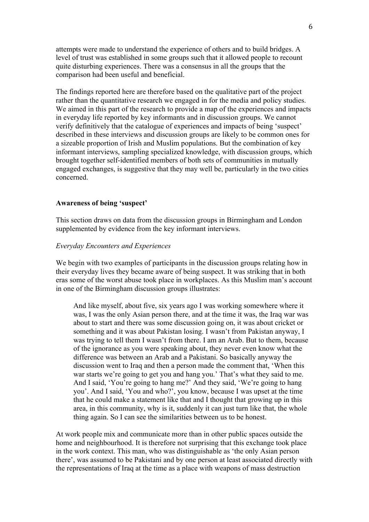attempts were made to understand the experience of others and to build bridges. A level of trust was established in some groups such that it allowed people to recount quite disturbing experiences. There was a consensus in all the groups that the comparison had been useful and beneficial.

The findings reported here are therefore based on the qualitative part of the project rather than the quantitative research we engaged in for the media and policy studies. We aimed in this part of the research to provide a map of the experiences and impacts in everyday life reported by key informants and in discussion groups. We cannot verify definitively that the catalogue of experiences and impacts of being 'suspect' described in these interviews and discussion groups are likely to be common ones for a sizeable proportion of Irish and Muslim populations. But the combination of key informant interviews, sampling specialized knowledge, with discussion groups, which brought together self-identified members of both sets of communities in mutually engaged exchanges, is suggestive that they may well be, particularly in the two cities concerned.

#### **Awareness of being 'suspect'**

This section draws on data from the discussion groups in Birmingham and London supplemented by evidence from the key informant interviews.

#### *Everyday Encounters and Experiences*

We begin with two examples of participants in the discussion groups relating how in their everyday lives they became aware of being suspect. It was striking that in both eras some of the worst abuse took place in workplaces. As this Muslim man's account in one of the Birmingham discussion groups illustrates:

And like myself, about five, six years ago I was working somewhere where it was, I was the only Asian person there, and at the time it was, the Iraq war was about to start and there was some discussion going on, it was about cricket or something and it was about Pakistan losing. I wasn't from Pakistan anyway, I was trying to tell them I wasn't from there. I am an Arab. But to them, because of the ignorance as you were speaking about, they never even know what the difference was between an Arab and a Pakistani. So basically anyway the discussion went to Iraq and then a person made the comment that, 'When this war starts we're going to get you and hang you.' That's what they said to me. And I said, 'You're going to hang me?' And they said, 'We're going to hang you'. And I said, 'You and who?', you know, because I was upset at the time that he could make a statement like that and I thought that growing up in this area, in this community, why is it, suddenly it can just turn like that, the whole thing again. So I can see the similarities between us to be honest.

At work people mix and communicate more than in other public spaces outside the home and neighbourhood. It is therefore not surprising that this exchange took place in the work context. This man, who was distinguishable as 'the only Asian person there', was assumed to be Pakistani and by one person at least associated directly with the representations of Iraq at the time as a place with weapons of mass destruction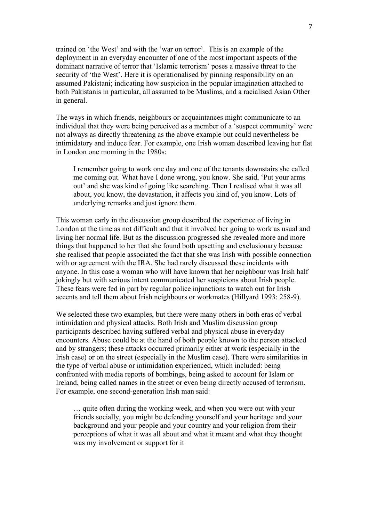trained on 'the West' and with the 'war on terror'. This is an example of the deployment in an everyday encounter of one of the most important aspects of the dominant narrative of terror that 'Islamic terrorism' poses a massive threat to the security of 'the West'. Here it is operationalised by pinning responsibility on an assumed Pakistani; indicating how suspicion in the popular imagination attached to both Pakistanis in particular, all assumed to be Muslims, and a racialised Asian Other in general.

The ways in which friends, neighbours or acquaintances might communicate to an individual that they were being perceived as a member of a 'suspect community' were not always as directly threatening as the above example but could nevertheless be intimidatory and induce fear. For example, one Irish woman described leaving her flat in London one morning in the 1980s:

I remember going to work one day and one of the tenants downstairs she called me coming out. What have I done wrong, you know. She said, 'Put your arms out' and she was kind of going like searching. Then I realised what it was all about, you know, the devastation, it affects you kind of, you know. Lots of underlying remarks and just ignore them.

This woman early in the discussion group described the experience of living in London at the time as not difficult and that it involved her going to work as usual and living her normal life. But as the discussion progressed she revealed more and more things that happened to her that she found both upsetting and exclusionary because she realised that people associated the fact that she was Irish with possible connection with or agreement with the IRA. She had rarely discussed these incidents with anyone. In this case a woman who will have known that her neighbour was Irish half jokingly but with serious intent communicated her suspicions about Irish people. These fears were fed in part by regular police injunctions to watch out for Irish accents and tell them about Irish neighbours or workmates (Hillyard 1993: 258-9).

We selected these two examples, but there were many others in both eras of verbal intimidation and physical attacks. Both Irish and Muslim discussion group participants described having suffered verbal and physical abuse in everyday encounters. Abuse could be at the hand of both people known to the person attacked and by strangers; these attacks occurred primarily either at work (especially in the Irish case) or on the street (especially in the Muslim case). There were similarities in the type of verbal abuse or intimidation experienced, which included: being confronted with media reports of bombings, being asked to account for Islam or Ireland, being called names in the street or even being directly accused of terrorism. For example, one second-generation Irish man said:

… quite often during the working week, and when you were out with your friends socially, you might be defending yourself and your heritage and your background and your people and your country and your religion from their perceptions of what it was all about and what it meant and what they thought was my involvement or support for it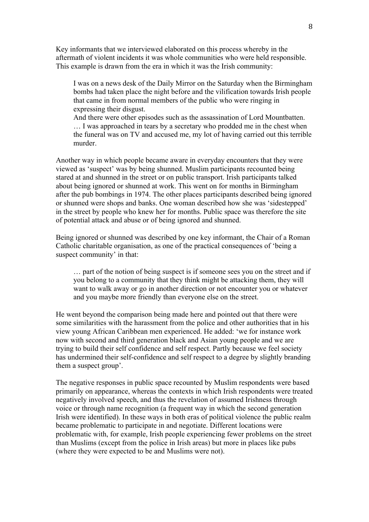Key informants that we interviewed elaborated on this process whereby in the aftermath of violent incidents it was whole communities who were held responsible. This example is drawn from the era in which it was the Irish community:

I was on a news desk of the Daily Mirror on the Saturday when the Birmingham bombs had taken place the night before and the vilification towards Irish people that came in from normal members of the public who were ringing in expressing their disgust.

And there were other episodes such as the assassination of Lord Mountbatten. … I was approached in tears by a secretary who prodded me in the chest when the funeral was on TV and accused me, my lot of having carried out this terrible murder.

Another way in which people became aware in everyday encounters that they were viewed as 'suspect' was by being shunned. Muslim participants recounted being stared at and shunned in the street or on public transport. Irish participants talked about being ignored or shunned at work. This went on for months in Birmingham after the pub bombings in 1974. The other places participants described being ignored or shunned were shops and banks. One woman described how she was 'sidestepped' in the street by people who knew her for months. Public space was therefore the site of potential attack and abuse or of being ignored and shunned.

Being ignored or shunned was described by one key informant, the Chair of a Roman Catholic charitable organisation, as one of the practical consequences of 'being a suspect community' in that:

… part of the notion of being suspect is if someone sees you on the street and if you belong to a community that they think might be attacking them, they will want to walk away or go in another direction or not encounter you or whatever and you maybe more friendly than everyone else on the street.

He went beyond the comparison being made here and pointed out that there were some similarities with the harassment from the police and other authorities that in his view young African Caribbean men experienced. He added: 'we for instance work now with second and third generation black and Asian young people and we are trying to build their self confidence and self respect. Partly because we feel society has undermined their self-confidence and self respect to a degree by slightly branding them a suspect group'.

The negative responses in public space recounted by Muslim respondents were based primarily on appearance, whereas the contexts in which Irish respondents were treated negatively involved speech, and thus the revelation of assumed Irishness through voice or through name recognition (a frequent way in which the second generation Irish were identified). In these ways in both eras of political violence the public realm became problematic to participate in and negotiate. Different locations were problematic with, for example, Irish people experiencing fewer problems on the street than Muslims (except from the police in Irish areas) but more in places like pubs (where they were expected to be and Muslims were not).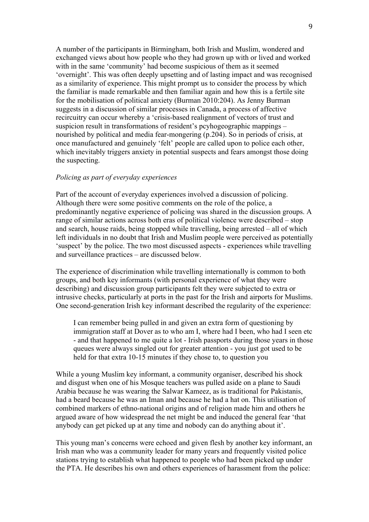A number of the participants in Birmingham, both Irish and Muslim, wondered and exchanged views about how people who they had grown up with or lived and worked with in the same 'community' had become suspicious of them as it seemed 'overnight'. This was often deeply upsetting and of lasting impact and was recognised as a similarity of experience. This might prompt us to consider the process by which the familiar is made remarkable and then familiar again and how this is a fertile site for the mobilisation of political anxiety (Burman 2010:204). As Jenny Burman suggests in a discussion of similar processes in Canada, a process of affective recircuitry can occur whereby a 'crisis-based realignment of vectors of trust and suspicion result in transformations of resident's pcyhogeographic mappings – nourished by political and media fear-mongering (p.204). So in periods of crisis, at once manufactured and genuinely 'felt' people are called upon to police each other, which inevitably triggers anxiety in potential suspects and fears amongst those doing the suspecting.

## *Policing as part of everyday experiences*

Part of the account of everyday experiences involved a discussion of policing. Although there were some positive comments on the role of the police, a predominantly negative experience of policing was shared in the discussion groups. A range of similar actions across both eras of political violence were described – stop and search, house raids, being stopped while travelling, being arrested – all of which left individuals in no doubt that Irish and Muslim people were perceived as potentially 'suspect' by the police. The two most discussed aspects - experiences while travelling and surveillance practices – are discussed below.

The experience of discrimination while travelling internationally is common to both groups, and both key informants (with personal experience of what they were describing) and discussion group participants felt they were subjected to extra or intrusive checks, particularly at ports in the past for the Irish and airports for Muslims. One second-generation Irish key informant described the regularity of the experience:

I can remember being pulled in and given an extra form of questioning by immigration staff at Dover as to who am I, where had I been, who had I seen etc - and that happened to me quite a lot - Irish passports during those years in those queues were always singled out for greater attention - you just got used to be held for that extra 10-15 minutes if they chose to, to question you

While a young Muslim key informant, a community organiser, described his shock and disgust when one of his Mosque teachers was pulled aside on a plane to Saudi Arabia because he was wearing the Salwar Kameez, as is traditional for Pakistanis, had a beard because he was an Iman and because he had a hat on. This utilisation of combined markers of ethno-national origins and of religion made him and others he argued aware of how widespread the net might be and induced the general fear 'that anybody can get picked up at any time and nobody can do anything about it'.

This young man's concerns were echoed and given flesh by another key informant, an Irish man who was a community leader for many years and frequently visited police stations trying to establish what happened to people who had been picked up under the PTA. He describes his own and others experiences of harassment from the police: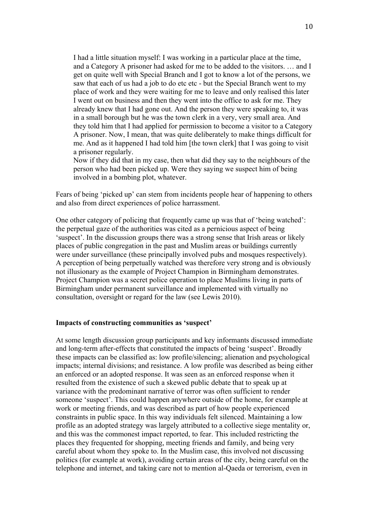I had a little situation myself: I was working in a particular place at the time, and a Category A prisoner had asked for me to be added to the visitors. … and I get on quite well with Special Branch and I got to know a lot of the persons, we saw that each of us had a job to do etc etc - but the Special Branch went to my place of work and they were waiting for me to leave and only realised this later I went out on business and then they went into the office to ask for me. They already knew that I had gone out. And the person they were speaking to, it was in a small borough but he was the town clerk in a very, very small area. And they told him that I had applied for permission to become a visitor to a Category A prisoner. Now, I mean, that was quite deliberately to make things difficult for me. And as it happened I had told him [the town clerk] that I was going to visit a prisoner regularly.

Now if they did that in my case, then what did they say to the neighbours of the person who had been picked up. Were they saying we suspect him of being involved in a bombing plot, whatever.

Fears of being 'picked up' can stem from incidents people hear of happening to others and also from direct experiences of police harrassment.

One other category of policing that frequently came up was that of 'being watched': the perpetual gaze of the authorities was cited as a pernicious aspect of being 'suspect'. In the discussion groups there was a strong sense that Irish areas or likely places of public congregation in the past and Muslim areas or buildings currently were under surveillance (these principally involved pubs and mosques respectively). A perception of being perpetually watched was therefore very strong and is obviously not illusionary as the example of Project Champion in Birmingham demonstrates. Project Champion was a secret police operation to place Muslims living in parts of Birmingham under permanent surveillance and implemented with virtually no consultation, oversight or regard for the law (see Lewis 2010).

#### **Impacts of constructing communities as 'suspect'**

At some length discussion group participants and key informants discussed immediate and long-term after-effects that constituted the impacts of being 'suspect'. Broadly these impacts can be classified as: low profile/silencing; alienation and psychological impacts; internal divisions; and resistance. A low profile was described as being either an enforced or an adopted response. It was seen as an enforced response when it resulted from the existence of such a skewed public debate that to speak up at variance with the predominant narrative of terror was often sufficient to render someone 'suspect'. This could happen anywhere outside of the home, for example at work or meeting friends, and was described as part of how people experienced constraints in public space. In this way individuals felt silenced. Maintaining a low profile as an adopted strategy was largely attributed to a collective siege mentality or, and this was the commonest impact reported, to fear. This included restricting the places they frequented for shopping, meeting friends and family, and being very careful about whom they spoke to. In the Muslim case, this involved not discussing politics (for example at work), avoiding certain areas of the city, being careful on the telephone and internet, and taking care not to mention al-Qaeda or terrorism, even in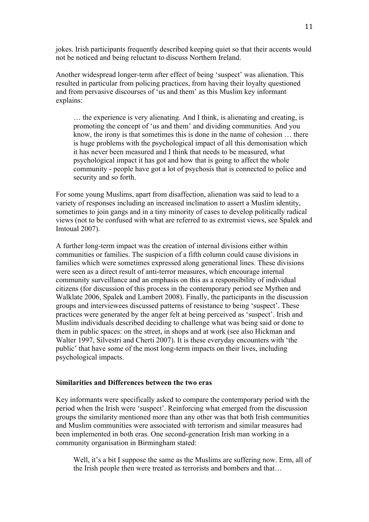jokes. Irish participants frequently described keeping quiet so that their accents would not be noticed and being reluctant to discuss Northern Ireland.

Another widespread longer-term after effect of being 'suspect' was alienation. This resulted in particular from policing practices, from having their loyalty questioned and from pervasive discourses of 'us and them' as this Muslim key informant explains:

… the experience is very alienating. And I think, is alienating and creating, is promoting the concept of 'us and them' and dividing communities. And you know, the irony is that sometimes this is done in the name of cohesion … there is huge problems with the psychological impact of all this demonisation which it has never been measured and I think that needs to be measured, what psychological impact it has got and how that is going to affect the whole community - people have got a lot of psychosis that is connected to police and security and so forth.

For some young Muslims, apart from disaffection, alienation was said to lead to a variety of responses including an increased inclination to assert a Muslim identity, sometimes to join gangs and in a tiny minority of cases to develop politically radical views (not to be confused with what are referred to as extremist views, see Spalek and Imtoual 2007).

A further long-term impact was the creation of internal divisions either within communities or families. The suspicion of a fifth column could cause divisions in families which were sometimes expressed along generational lines. These divisions were seen as a direct result of anti-terror measures, which encourage internal community surveillance and an emphasis on this as a responsibility of individual citizens (for discussion of this process in the contemporary period see Mythen and Walklate 2006, Spalek and Lambert 2008). Finally, the participants in the discussion groups and interviewees discussed patterns of resistance to being 'suspect'. These practices were generated by the anger felt at being perceived as 'suspect'. Irish and Muslim individuals described deciding to challenge what was being said or done to them in public spaces: on the street, in shops and at work (see also Hickman and Walter 1997, Silvestri and Cherti 2007). It is these everyday encounters with 'the public' that have some of the most long-term impacts on their lives, including psychological impacts.

## **Similarities and Differences between the two eras**

Key informants were specifically asked to compare the contemporary period with the period when the Irish were 'suspect'. Reinforcing what emerged from the discussion groups the similarity mentioned more than any other was that both Irish communities and Muslim communities were associated with terrorism and similar measures had been implemented in both eras. One second-generation Irish man working in a community organisation in Birmingham stated:

Well, it's a bit I suppose the same as the Muslims are suffering now. Erm, all of the Irish people then were treated as terrorists and bombers and that…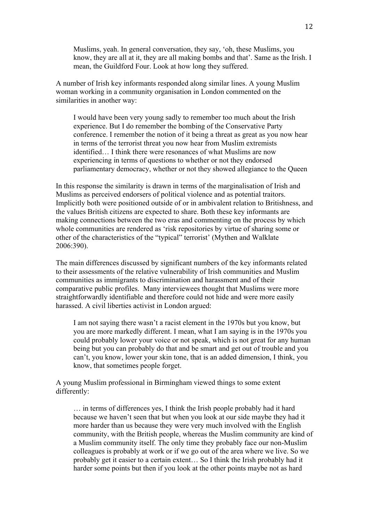Muslims, yeah. In general conversation, they say, 'oh, these Muslims, you know, they are all at it, they are all making bombs and that'. Same as the Irish. I mean, the Guildford Four. Look at how long they suffered.

A number of Irish key informants responded along similar lines. A young Muslim woman working in a community organisation in London commented on the similarities in another way:

I would have been very young sadly to remember too much about the Irish experience. But I do remember the bombing of the Conservative Party conference. I remember the notion of it being a threat as great as you now hear in terms of the terrorist threat you now hear from Muslim extremists identified… I think there were resonances of what Muslims are now experiencing in terms of questions to whether or not they endorsed parliamentary democracy, whether or not they showed allegiance to the Queen

In this response the similarity is drawn in terms of the marginalisation of Irish and Muslims as perceived endorsers of political violence and as potential traitors. Implicitly both were positioned outside of or in ambivalent relation to Britishness, and the values British citizens are expected to share. Both these key informants are making connections between the two eras and commenting on the process by which whole communities are rendered as 'risk repositories by virtue of sharing some or other of the characteristics of the "typical" terrorist' (Mythen and Walklate 2006:390).

The main differences discussed by significant numbers of the key informants related to their assessments of the relative vulnerability of Irish communities and Muslim communities as immigrants to discrimination and harassment and of their comparative public profiles. Many interviewees thought that Muslims were more straightforwardly identifiable and therefore could not hide and were more easily harassed. A civil liberties activist in London argued:

I am not saying there wasn't a racist element in the 1970s but you know, but you are more markedly different. I mean, what I am saying is in the 1970s you could probably lower your voice or not speak, which is not great for any human being but you can probably do that and be smart and get out of trouble and you can't, you know, lower your skin tone, that is an added dimension, I think, you know, that sometimes people forget.

A young Muslim professional in Birmingham viewed things to some extent differently:

… in terms of differences yes, I think the Irish people probably had it hard because we haven't seen that but when you look at our side maybe they had it more harder than us because they were very much involved with the English community, with the British people, whereas the Muslim community are kind of a Muslim community itself. The only time they probably face our non-Muslim colleagues is probably at work or if we go out of the area where we live. So we probably get it easier to a certain extent… So I think the Irish probably had it harder some points but then if you look at the other points maybe not as hard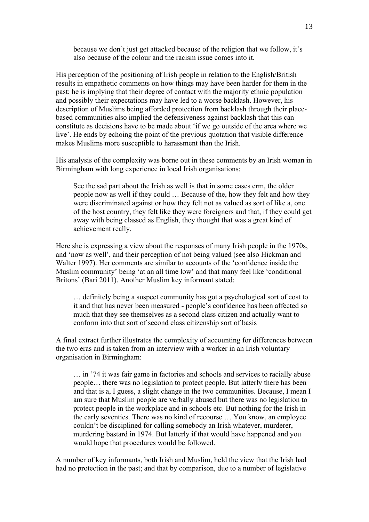because we don't just get attacked because of the religion that we follow, it's also because of the colour and the racism issue comes into it.

His perception of the positioning of Irish people in relation to the English/British results in empathetic comments on how things may have been harder for them in the past; he is implying that their degree of contact with the majority ethnic population and possibly their expectations may have led to a worse backlash. However, his description of Muslims being afforded protection from backlash through their placebased communities also implied the defensiveness against backlash that this can constitute as decisions have to be made about 'if we go outside of the area where we live'. He ends by echoing the point of the previous quotation that visible difference makes Muslims more susceptible to harassment than the Irish.

His analysis of the complexity was borne out in these comments by an Irish woman in Birmingham with long experience in local Irish organisations:

See the sad part about the Irish as well is that in some cases erm, the older people now as well if they could … Because of the, how they felt and how they were discriminated against or how they felt not as valued as sort of like a, one of the host country, they felt like they were foreigners and that, if they could get away with being classed as English, they thought that was a great kind of achievement really.

Here she is expressing a view about the responses of many Irish people in the 1970s, and 'now as well', and their perception of not being valued (see also Hickman and Walter 1997). Her comments are similar to accounts of the 'confidence inside the Muslim community' being 'at an all time low' and that many feel like 'conditional Britons' (Bari 2011). Another Muslim key informant stated:

… definitely being a suspect community has got a psychological sort of cost to it and that has never been measured - people's confidence has been affected so much that they see themselves as a second class citizen and actually want to conform into that sort of second class citizenship sort of basis

A final extract further illustrates the complexity of accounting for differences between the two eras and is taken from an interview with a worker in an Irish voluntary organisation in Birmingham:

… in '74 it was fair game in factories and schools and services to racially abuse people… there was no legislation to protect people. But latterly there has been and that is a, I guess, a slight change in the two communities. Because, I mean I am sure that Muslim people are verbally abused but there was no legislation to protect people in the workplace and in schools etc. But nothing for the Irish in the early seventies. There was no kind of recourse … You know, an employee couldn't be disciplined for calling somebody an Irish whatever, murderer, murdering bastard in 1974. But latterly if that would have happened and you would hope that procedures would be followed.

A number of key informants, both Irish and Muslim, held the view that the Irish had had no protection in the past; and that by comparison, due to a number of legislative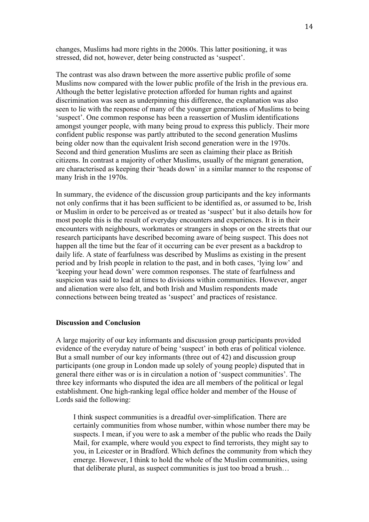changes, Muslims had more rights in the 2000s. This latter positioning, it was stressed, did not, however, deter being constructed as 'suspect'.

The contrast was also drawn between the more assertive public profile of some Muslims now compared with the lower public profile of the Irish in the previous era. Although the better legislative protection afforded for human rights and against discrimination was seen as underpinning this difference, the explanation was also seen to lie with the response of many of the younger generations of Muslims to being 'suspect'. One common response has been a reassertion of Muslim identifications amongst younger people, with many being proud to express this publicly. Their more confident public response was partly attributed to the second generation Muslims being older now than the equivalent Irish second generation were in the 1970s. Second and third generation Muslims are seen as claiming their place as British citizens. In contrast a majority of other Muslims, usually of the migrant generation, are characterised as keeping their 'heads down' in a similar manner to the response of many Irish in the 1970s.

In summary, the evidence of the discussion group participants and the key informants not only confirms that it has been sufficient to be identified as, or assumed to be, Irish or Muslim in order to be perceived as or treated as 'suspect' but it also details how for most people this is the result of everyday encounters and experiences. It is in their encounters with neighbours, workmates or strangers in shops or on the streets that our research participants have described becoming aware of being suspect. This does not happen all the time but the fear of it occurring can be ever present as a backdrop to daily life. A state of fearfulness was described by Muslims as existing in the present period and by Irish people in relation to the past, and in both cases, 'lying low' and 'keeping your head down' were common responses. The state of fearfulness and suspicion was said to lead at times to divisions within communities. However, anger and alienation were also felt, and both Irish and Muslim respondents made connections between being treated as 'suspect' and practices of resistance.

## **Discussion and Conclusion**

A large majority of our key informants and discussion group participants provided evidence of the everyday nature of being 'suspect' in both eras of political violence. But a small number of our key informants (three out of 42) and discussion group participants (one group in London made up solely of young people) disputed that in general there either was or is in circulation a notion of 'suspect communities'. The three key informants who disputed the idea are all members of the political or legal establishment. One high-ranking legal office holder and member of the House of Lords said the following:

I think suspect communities is a dreadful over-simplification. There are certainly communities from whose number, within whose number there may be suspects. I mean, if you were to ask a member of the public who reads the Daily Mail, for example, where would you expect to find terrorists, they might say to you, in Leicester or in Bradford. Which defines the community from which they emerge. However, I think to hold the whole of the Muslim communities, using that deliberate plural, as suspect communities is just too broad a brush…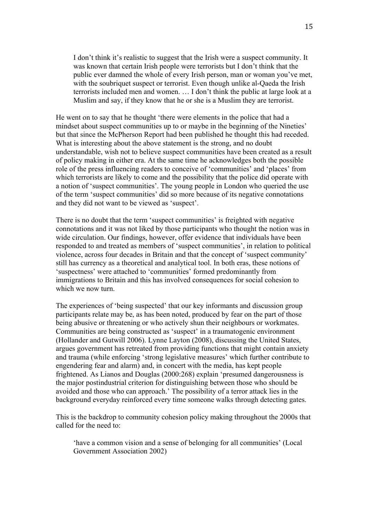I don't think it's realistic to suggest that the Irish were a suspect community. It was known that certain Irish people were terrorists but I don't think that the public ever damned the whole of every Irish person, man or woman you've met, with the soubriquet suspect or terrorist. Even though unlike al-Qaeda the Irish terrorists included men and women. … I don't think the public at large look at a Muslim and say, if they know that he or she is a Muslim they are terrorist.

He went on to say that he thought 'there were elements in the police that had a mindset about suspect communities up to or maybe in the beginning of the Nineties' but that since the McPherson Report had been published he thought this had receded. What is interesting about the above statement is the strong, and no doubt understandable, wish not to believe suspect communities have been created as a result of policy making in either era. At the same time he acknowledges both the possible role of the press influencing readers to conceive of 'communities' and 'places' from which terrorists are likely to come and the possibility that the police did operate with a notion of 'suspect communities'. The young people in London who queried the use of the term 'suspect communities' did so more because of its negative connotations and they did not want to be viewed as 'suspect'.

There is no doubt that the term 'suspect communities' is freighted with negative connotations and it was not liked by those participants who thought the notion was in wide circulation. Our findings, however, offer evidence that individuals have been responded to and treated as members of 'suspect communities', in relation to political violence, across four decades in Britain and that the concept of 'suspect community' still has currency as a theoretical and analytical tool. In both eras, these notions of 'suspectness' were attached to 'communities' formed predominantly from immigrations to Britain and this has involved consequences for social cohesion to which we now turn.

The experiences of 'being suspected' that our key informants and discussion group participants relate may be, as has been noted, produced by fear on the part of those being abusive or threatening or who actively shun their neighbours or workmates. Communities are being constructed as 'suspect' in a traumatogenic environment (Hollander and Gutwill 2006). Lynne Layton (2008), discussing the United States, argues government has retreated from providing functions that might contain anxiety and trauma (while enforcing 'strong legislative measures' which further contribute to engendering fear and alarm) and, in concert with the media, has kept people frightened. As Lianos and Douglas (2000:268) explain 'presumed dangerousness is the major postindustrial criterion for distinguishing between those who should be avoided and those who can approach.' The possibility of a terror attack lies in the background everyday reinforced every time someone walks through detecting gates.

This is the backdrop to community cohesion policy making throughout the 2000s that called for the need to:

'have a common vision and a sense of belonging for all communities' (Local Government Association 2002)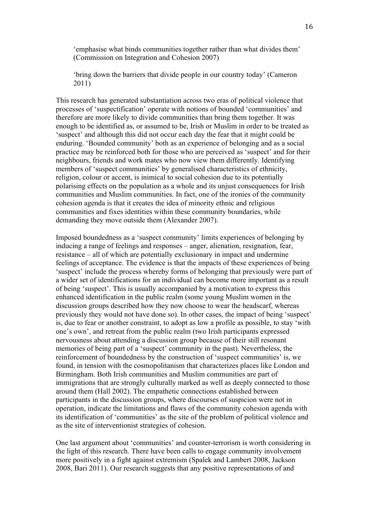'emphasise what binds communities together rather than what divides them' (Commission on Integration and Cohesion 2007)

'bring down the barriers that divide people in our country today' (Cameron 2011)

This research has generated substantiation across two eras of political violence that processes of 'suspectification' operate with notions of bounded 'communities' and therefore are more likely to divide communities than bring them together. It was enough to be identified as, or assumed to be, Irish or Muslim in order to be treated as 'suspect' and although this did not occur each day the fear that it might could be enduring. 'Bounded community' both as an experience of belonging and as a social practice may be reinforced both for those who are perceived as 'suspect' and for their neighbours, friends and work mates who now view them differently. Identifying members of 'suspect communities' by generalised characteristics of ethnicity, religion, colour or accent, is inimical to social cohesion due to its potentially polarising effects on the population as a whole and its unjust consequences for Irish communities and Muslim communities. In fact, one of the ironies of the community cohesion agenda is that it creates the idea of minority ethnic and religious communities and fixes identities within these community boundaries, while demanding they move outside them (Alexander 2007).

Imposed boundedness as a 'suspect community' limits experiences of belonging by inducing a range of feelings and responses – anger, alienation, resignation, fear, resistance – all of which are potentially exclusionary in impact and undermine feelings of acceptance. The evidence is that the impacts of these experiences of being 'suspect' include the process whereby forms of belonging that previously were part of a wider set of identifications for an individual can become more important as a result of being 'suspect'. This is usually accompanied by a motivation to express this enhanced identification in the public realm (some young Muslim women in the discussion groups described how they now choose to wear the headscarf, whereas previously they would not have done so). In other cases, the impact of being 'suspect' is, due to fear or another constraint, to adopt as low a profile as possible, to stay 'with one's own', and retreat from the public realm (two Irish participants expressed nervousness about attending a discussion group because of their still resonant memories of being part of a 'suspect' community in the past). Nevertheless, the reinforcement of boundedness by the construction of 'suspect communities' is, we found, in tension with the cosmopolitanism that characterizes places like London and Birmingham. Both Irish communities and Muslim communities are part of immigrations that are strongly culturally marked as well as deeply connected to those around them (Hall 2002). The empathetic connections established between participants in the discussion groups, where discourses of suspicion were not in operation, indicate the limitations and flaws of the community cohesion agenda with its identification of 'communities' as the site of the problem of political violence and as the site of interventionist strategies of cohesion.

One last argument about 'communities' and counter-terrorism is worth considering in the light of this research. There have been calls to engage community involvement more positively in a fight against extremism (Spalek and Lambert 2008, Jackson 2008, Bari 2011). Our research suggests that any positive representations of and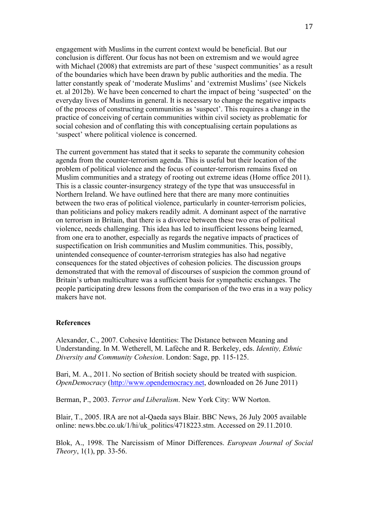engagement with Muslims in the current context would be beneficial. But our conclusion is different. Our focus has not been on extremism and we would agree with Michael (2008) that extremists are part of these 'suspect communities' as a result of the boundaries which have been drawn by public authorities and the media. The latter constantly speak of 'moderate Muslims' and 'extremist Muslims' (see Nickels et. al 2012b). We have been concerned to chart the impact of being 'suspected' on the everyday lives of Muslims in general. It is necessary to change the negative impacts of the process of constructing communities as 'suspect'. This requires a change in the practice of conceiving of certain communities within civil society as problematic for social cohesion and of conflating this with conceptualising certain populations as 'suspect' where political violence is concerned.

The current government has stated that it seeks to separate the community cohesion agenda from the counter-terrorism agenda. This is useful but their location of the problem of political violence and the focus of counter-terrorism remains fixed on Muslim communities and a strategy of rooting out extreme ideas (Home office 2011). This is a classic counter-insurgency strategy of the type that was unsuccessful in Northern Ireland. We have outlined here that there are many more continuities between the two eras of political violence, particularly in counter-terrorism policies, than politicians and policy makers readily admit. A dominant aspect of the narrative on terrorism in Britain, that there is a divorce between these two eras of political violence, needs challenging. This idea has led to insufficient lessons being learned, from one era to another, especially as regards the negative impacts of practices of suspectification on Irish communities and Muslim communities. This, possibly, unintended consequence of counter-terrorism strategies has also had negative consequences for the stated objectives of cohesion policies. The discussion groups demonstrated that with the removal of discourses of suspicion the common ground of Britain's urban multiculture was a sufficient basis for sympathetic exchanges. The people participating drew lessons from the comparison of the two eras in a way policy makers have not.

#### **References**

Alexander, C., 2007. Cohesive Identities: The Distance between Meaning and Understanding. In M. Wetherell, M. Lafèche and R. Berkeley, eds. *Identity, Ethnic Diversity and Community Cohesion*. London: Sage, pp. 115-125.

Bari, M. A., 2011. No section of British society should be treated with suspicion. *OpenDemocracy* (http://www.opendemocracy.net, downloaded on 26 June 2011)

Berman, P., 2003. *Terror and Liberalism*. New York City: WW Norton.

Blair, T., 2005. IRA are not al-Qaeda says Blair. BBC News, 26 July 2005 available online: news.bbc.co.uk/1/hi/uk\_politics/4718223.stm. Accessed on 29.11.2010.

Blok, A., 1998. The Narcissism of Minor Differences. *European Journal of Social Theory*, 1(1), pp. 33-56.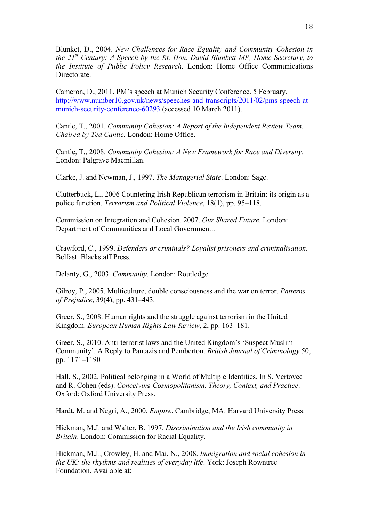Blunket, D., 2004. *New Challenges for Race Equality and Community Cohesion in the 21st Century: A Speech by the Rt. Hon. David Blunkett MP, Home Secretary, to the Institute of Public Policy Research*. London: Home Office Communications Directorate.

Cameron, D., 2011. PM's speech at Munich Security Conference. 5 February. http://www.number10.gov.uk/news/speeches-and-transcripts/2011/02/pms-speech-atmunich-security-conference-60293 (accessed 10 March 2011).

Cantle, T., 2001. *Community Cohesion: A Report of the Independent Review Team. Chaired by Ted Cantle.* London: Home Office.

Cantle, T., 2008. *Community Cohesion: A New Framework for Race and Diversity*. London: Palgrave Macmillan.

Clarke, J. and Newman, J., 1997. *The Managerial State*. London: Sage.

Clutterbuck, L., 2006 Countering Irish Republican terrorism in Britain: its origin as a police function. *Terrorism and Political Violence*, 18(1), pp. 95–118.

Commission on Integration and Cohesion. 2007. *Our Shared Future*. London: Department of Communities and Local Government..

Crawford, C., 1999. *Defenders or criminals? Loyalist prisoners and criminalisation*. Belfast: Blackstaff Press.

Delanty, G., 2003. *Community*. London: Routledge

Gilroy, P., 2005. Multiculture, double consciousness and the war on terror. *Patterns of Prejudice*, 39(4), pp. 431–443.

Greer, S., 2008. Human rights and the struggle against terrorism in the United Kingdom. *European Human Rights Law Review*, 2, pp. 163–181.

Greer, S., 2010. Anti-terrorist laws and the United Kingdom's 'Suspect Muslim Community'. A Reply to Pantazis and Pemberton. *British Journal of Criminology* 50, pp. 1171–1190

Hall, S., 2002. Political belonging in a World of Multiple Identities. In S. Vertovec and R. Cohen (eds). *Conceiving Cosmopolitanism. Theory, Context, and Practice*. Oxford: Oxford University Press.

Hardt, M. and Negri, A., 2000. *Empire*. Cambridge, MA: Harvard University Press.

Hickman, M.J. and Walter, B. 1997. *Discrimination and the Irish community in Britain*. London: Commission for Racial Equality.

Hickman, M.J., Crowley, H. and Mai, N., 2008. *Immigration and social cohesion in the UK: the rhythms and realities of everyday life*. York: Joseph Rowntree Foundation. Available at: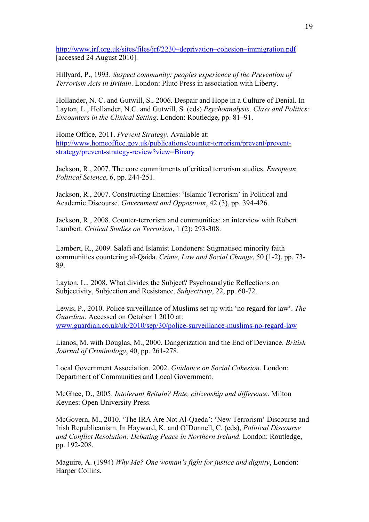http://www.jrf.org.uk/sites/files/jrf/2230–deprivation–cohesion–immigration.pdf [accessed 24 August 2010].

Hillyard, P., 1993. *Suspect community: peoples experience of the Prevention of Terrorism Acts in Britain*. London: Pluto Press in association with Liberty.

Hollander, N. C. and Gutwill, S., 2006. Despair and Hope in a Culture of Denial. In Layton, L., Hollander, N.C. and Gutwill, S. (eds) *Psychoanalysis, Class and Politics: Encounters in the Clinical Setting*. London: Routledge, pp. 81–91.

Home Office, 2011. *Prevent Strategy*. Available at: http://www.homeoffice.gov.uk/publications/counter-terrorism/prevent/preventstrategy/prevent-strategy-review?view=Binary

Jackson, R., 2007. The core commitments of critical terrorism studies. *European Political Science*, 6, pp. 244-251.

Jackson, R., 2007. Constructing Enemies: 'Islamic Terrorism' in Political and Academic Discourse. *Government and Opposition*, 42 (3), pp. 394-426.

Jackson, R., 2008. Counter-terrorism and communities: an interview with Robert Lambert. *Critical Studies on Terrorism*, 1 (2): 293-308.

Lambert, R., 2009. Salafi and Islamist Londoners: Stigmatised minority faith communities countering al-Qaida. *Crime, Law and Social Change*, 50 (1-2), pp. 73- 89.

Layton, L., 2008. What divides the Subject? Psychoanalytic Reflections on Subjectivity, Subjection and Resistance. *Subjectivity*, 22, pp. 60-72.

Lewis, P., 2010. Police surveillance of Muslims set up with 'no regard for law'. *The Guardian*. Accessed on October 1 2010 at: www.guardian.co.uk/uk/2010/sep/30/police-surveillance-muslims-no-regard-law

Lianos, M. with Douglas, M., 2000. Dangerization and the End of Deviance. *British Journal of Criminology*, 40, pp. 261-278.

Local Government Association. 2002. *Guidance on Social Cohesion*. London: Department of Communities and Local Government.

McGhee, D., 2005. *Intolerant Britain? Hate, citizenship and difference*. Milton Keynes: Open University Press.

McGovern, M., 2010. 'The IRA Are Not Al-Qaeda': 'New Terrorism' Discourse and Irish Republicanism. In Hayward, K. and O'Donnell, C. (eds), *Political Discourse and Conflict Resolution: Debating Peace in Northern Ireland*. London: Routledge, pp. 192-208.

Maguire, A. (1994) *Why Me? One woman's fight for justice and dignity*, London: Harper Collins.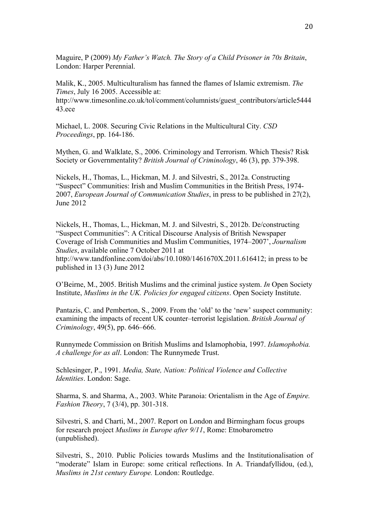Maguire, P (2009) *My Father's Watch. The Story of a Child Prisoner in 70s Britain*, London: Harper Perennial.

Malik, K., 2005. Multiculturalism has fanned the flames of Islamic extremism. *The Times*, July 16 2005. Accessible at:

http://www.timesonline.co.uk/tol/comment/columnists/guest\_contributors/article5444 43.ece

Michael, L. 2008. Securing Civic Relations in the Multicultural City. *CSD Proceedings*, pp. 164-186.

Mythen, G. and Walklate, S., 2006. Criminology and Terrorism. Which Thesis? Risk Society or Governmentality? *British Journal of Criminology*, 46 (3), pp. 379-398.

Nickels, H., Thomas, L., Hickman, M. J. and Silvestri, S., 2012a. Constructing "Suspect" Communities: Irish and Muslim Communities in the British Press, 1974- 2007, *European Journal of Communication Studies*, in press to be published in 27(2), June 2012

Nickels, H., Thomas, L., Hickman, M. J. and Silvestri, S., 2012b. De/constructing "Suspect Communities": A Critical Discourse Analysis of British Newspaper Coverage of Irish Communities and Muslim Communities, 1974–2007', *Journalism Studies*, available online 7 October 2011 at http://www.tandfonline.com/doi/abs/10.1080/1461670X.2011.616412; in press to be published in 13 (3) June 2012

O'Beirne, M., 2005. British Muslims and the criminal justice system. *In* Open Society Institute, *Muslims in the UK. Policies for engaged citizens*. Open Society Institute.

Pantazis, C. and Pemberton, S., 2009. From the 'old' to the 'new' suspect community: examining the impacts of recent UK counter–terrorist legislation. *British Journal of Criminology*, 49(5), pp. 646–666.

Runnymede Commission on British Muslims and Islamophobia, 1997. *Islamophobia. A challenge for as all*. London: The Runnymede Trust.

Schlesinger, P., 1991. *Media, State, Nation: Political Violence and Collective Identities*. London: Sage.

Sharma, S. and Sharma, A., 2003. White Paranoia: Orientalism in the Age of *Empire. Fashion Theory*, 7 (3/4), pp. 301-318.

Silvestri, S. and Charti, M., 2007. Report on London and Birmingham focus groups for research project *Muslims in Europe after 9/11*, Rome: Etnobarometro (unpublished).

Silvestri, S., 2010. Public Policies towards Muslims and the Institutionalisation of "moderate" Islam in Europe: some critical reflections. In A. Triandafyllidou, (ed.), *Muslims in 21st century Europe.* London: Routledge.